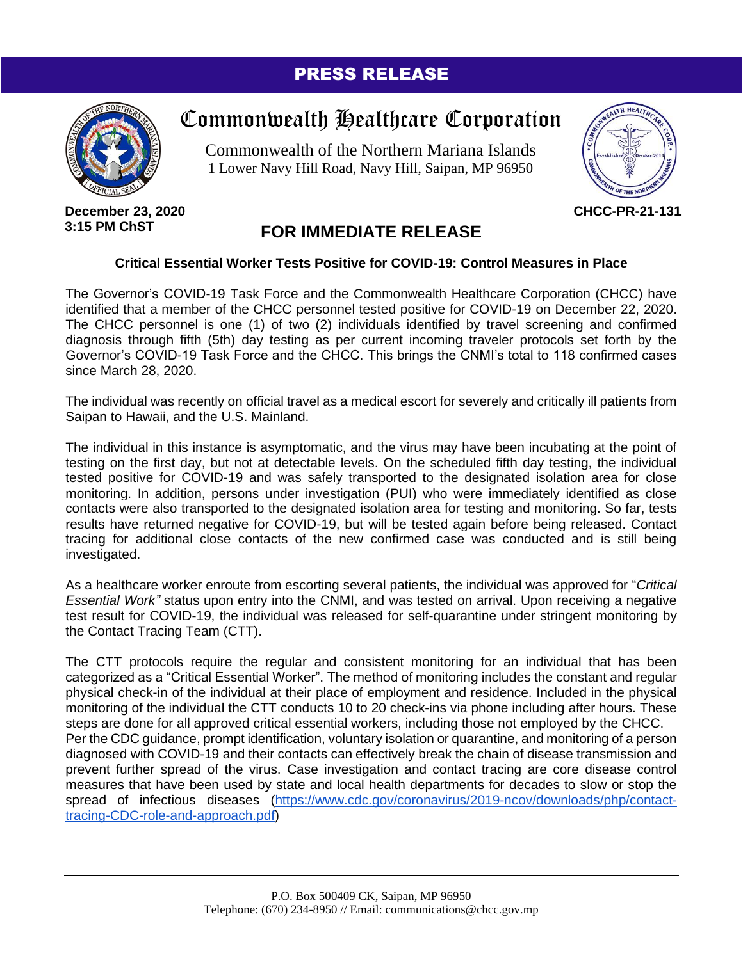### PRESS RELEASE



# Commonwealth Healthcare Corporation

Commonwealth of the Northern Mariana Islands 1 Lower Navy Hill Road, Navy Hill, Saipan, MP 96950



**December 23, 2020 3:15 PM ChST**

## **FOR IMMEDIATE RELEASE**

#### **Critical Essential Worker Tests Positive for COVID-19: Control Measures in Place**

The Governor's COVID-19 Task Force and the Commonwealth Healthcare Corporation (CHCC) have identified that a member of the CHCC personnel tested positive for COVID-19 on December 22, 2020. The CHCC personnel is one (1) of two (2) individuals identified by travel screening and confirmed diagnosis through fifth (5th) day testing as per current incoming traveler protocols set forth by the Governor's COVID-19 Task Force and the CHCC. This brings the CNMI's total to 118 confirmed cases since March 28, 2020.

The individual was recently on official travel as a medical escort for severely and critically ill patients from Saipan to Hawaii, and the U.S. Mainland.

The individual in this instance is asymptomatic, and the virus may have been incubating at the point of testing on the first day, but not at detectable levels. On the scheduled fifth day testing, the individual tested positive for COVID-19 and was safely transported to the designated isolation area for close monitoring. In addition, persons under investigation (PUI) who were immediately identified as close contacts were also transported to the designated isolation area for testing and monitoring. So far, tests results have returned negative for COVID-19, but will be tested again before being released. Contact tracing for additional close contacts of the new confirmed case was conducted and is still being investigated.

As a healthcare worker enroute from escorting several patients, the individual was approved for "*Critical Essential Work"* status upon entry into the CNMI, and was tested on arrival. Upon receiving a negative test result for COVID-19, the individual was released for self-quarantine under stringent monitoring by the Contact Tracing Team (CTT).

The CTT protocols require the regular and consistent monitoring for an individual that has been categorized as a "Critical Essential Worker". The method of monitoring includes the constant and regular physical check-in of the individual at their place of employment and residence. Included in the physical monitoring of the individual the CTT conducts 10 to 20 check-ins via phone including after hours. These steps are done for all approved critical essential workers, including those not employed by the CHCC. Per the CDC guidance, prompt identification, voluntary isolation or quarantine, and monitoring of a person diagnosed with COVID-19 and their contacts can effectively break the chain of disease transmission and prevent further spread of the virus. Case investigation and contact tracing are core disease control measures that have been used by state and local health departments for decades to slow or stop the spread of infectious diseases [\(https://www.cdc.gov/coronavirus/2019-ncov/downloads/php/contact](https://www.cdc.gov/coronavirus/2019-ncov/downloads/php/contact-tracing-CDC-role-and-approach.pdf)[tracing-CDC-role-and-approach.pdf\)](https://www.cdc.gov/coronavirus/2019-ncov/downloads/php/contact-tracing-CDC-role-and-approach.pdf)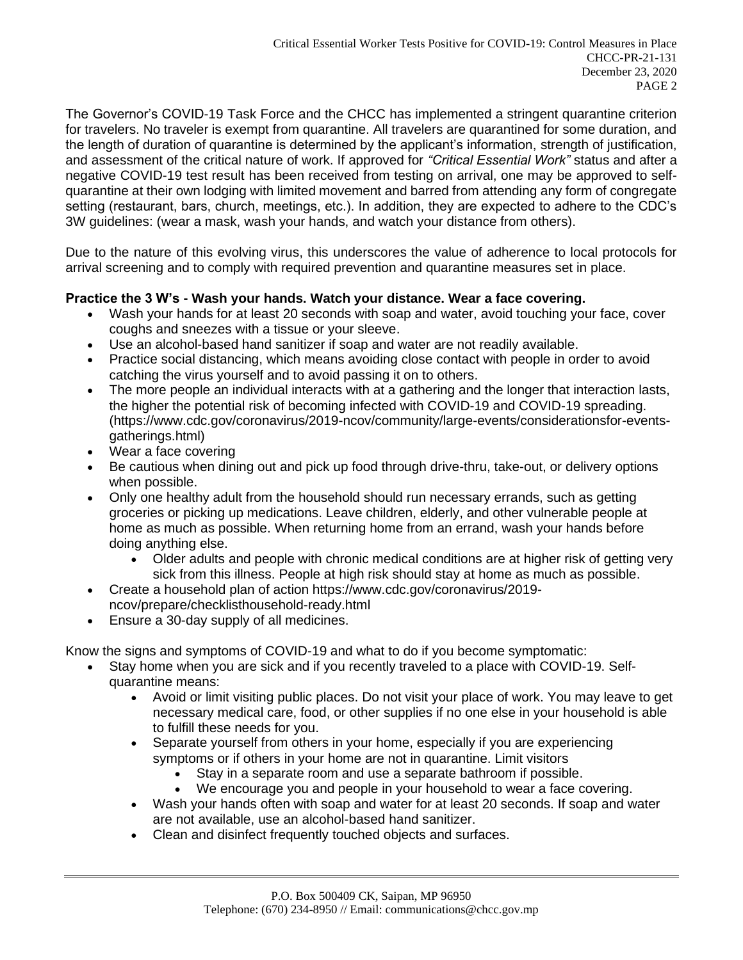The Governor's COVID-19 Task Force and the CHCC has implemented a stringent quarantine criterion for travelers. No traveler is exempt from quarantine. All travelers are quarantined for some duration, and the length of duration of quarantine is determined by the applicant's information, strength of justification, and assessment of the critical nature of work. If approved for *"Critical Essential Work"* status and after a negative COVID-19 test result has been received from testing on arrival, one may be approved to selfquarantine at their own lodging with limited movement and barred from attending any form of congregate setting (restaurant, bars, church, meetings, etc.). In addition, they are expected to adhere to the CDC's 3W guidelines: (wear a mask, wash your hands, and watch your distance from others).

Due to the nature of this evolving virus, this underscores the value of adherence to local protocols for arrival screening and to comply with required prevention and quarantine measures set in place.

#### **Practice the 3 W's - Wash your hands. Watch your distance. Wear a face covering.**

- Wash your hands for at least 20 seconds with soap and water, avoid touching your face, cover coughs and sneezes with a tissue or your sleeve.
- Use an alcohol-based hand sanitizer if soap and water are not readily available.
- Practice social distancing, which means avoiding close contact with people in order to avoid catching the virus yourself and to avoid passing it on to others.
- The more people an individual interacts with at a gathering and the longer that interaction lasts. the higher the potential risk of becoming infected with COVID-19 and COVID-19 spreading. (https://www.cdc.gov/coronavirus/2019-ncov/community/large-events/considerationsfor-eventsgatherings.html)
- Wear a face covering
- Be cautious when dining out and pick up food through drive-thru, take-out, or delivery options when possible.
- Only one healthy adult from the household should run necessary errands, such as getting groceries or picking up medications. Leave children, elderly, and other vulnerable people at home as much as possible. When returning home from an errand, wash your hands before doing anything else.
	- Older adults and people with chronic medical conditions are at higher risk of getting very sick from this illness. People at high risk should stay at home as much as possible.
- Create a household plan of action https://www.cdc.gov/coronavirus/2019 ncov/prepare/checklisthousehold-ready.html
- Ensure a 30-day supply of all medicines.

Know the signs and symptoms of COVID-19 and what to do if you become symptomatic:

- Stay home when you are sick and if you recently traveled to a place with COVID-19. Selfquarantine means:
	- Avoid or limit visiting public places. Do not visit your place of work. You may leave to get necessary medical care, food, or other supplies if no one else in your household is able to fulfill these needs for you.
	- Separate yourself from others in your home, especially if you are experiencing symptoms or if others in your home are not in quarantine. Limit visitors
		- Stay in a separate room and use a separate bathroom if possible.
		- We encourage you and people in your household to wear a face covering.
	- Wash your hands often with soap and water for at least 20 seconds. If soap and water are not available, use an alcohol-based hand sanitizer.
	- Clean and disinfect frequently touched objects and surfaces.